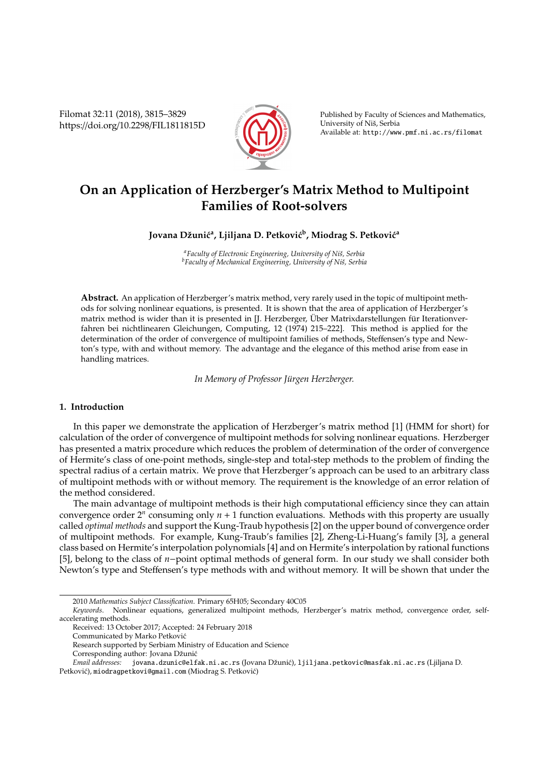Filomat 32:11 (2018), 3815–3829 https://doi.org/10.2298/FIL1811815D



Published by Faculty of Sciences and Mathematics, University of Niš, Serbia Available at: http://www.pmf.ni.ac.rs/filomat

# **On an Application of Herzberger's Matrix Method to Multipoint Families of Root-solvers**

## Jovana Džunić<sup>a</sup>, Ljiljana D. Petković<sup>b</sup>, Miodrag S. Petković<sup>a</sup>

*<sup>a</sup>Faculty of Electronic Engineering, University of Niˇs, Serbia b* Faculty of Mechanical Engineering, University of Niš, Serbia

**Abstract.** An application of Herzberger's matrix method, very rarely used in the topic of multipoint methods for solving nonlinear equations, is presented. It is shown that the area of application of Herzberger's matrix method is wider than it is presented in [J. Herzberger, Über Matrixdarstellungen für Iterationverfahren bei nichtlinearen Gleichungen, Computing, 12 (1974) 215–222]. This method is applied for the determination of the order of convergence of multipoint families of methods, Steffensen's type and Newton's type, with and without memory. The advantage and the elegance of this method arise from ease in handling matrices.

In Memory of Professor Jürgen Herzberger.

## **1. Introduction**

In this paper we demonstrate the application of Herzberger's matrix method [1] (HMM for short) for calculation of the order of convergence of multipoint methods for solving nonlinear equations. Herzberger has presented a matrix procedure which reduces the problem of determination of the order of convergence of Hermite's class of one-point methods, single-step and total-step methods to the problem of finding the spectral radius of a certain matrix. We prove that Herzberger's approach can be used to an arbitrary class of multipoint methods with or without memory. The requirement is the knowledge of an error relation of the method considered.

The main advantage of multipoint methods is their high computational efficiency since they can attain convergence order  $2^n$  consuming only  $n + 1$  function evaluations. Methods with this property are usually called *optimal methods* and support the Kung-Traub hypothesis [2] on the upper bound of convergence order of multipoint methods. For example, Kung-Traub's families [2], Zheng-Li-Huang's family [3], a general class based on Hermite's interpolation polynomials [4] and on Hermite's interpolation by rational functions [5], belong to the class of *n*−point optimal methods of general form. In our study we shall consider both Newton's type and Steffensen's type methods with and without memory. It will be shown that under the

Corresponding author: Jovana Džunić

<sup>2010</sup> *Mathematics Subject Classification*. Primary 65H05; Secondary 40C05

*Keywords*. Nonlinear equations, generalized multipoint methods, Herzberger's matrix method, convergence order, selfaccelerating methods.

Received: 13 October 2017; Accepted: 24 February 2018

Communicated by Marko Petkovic´

Research supported by Serbiam Ministry of Education and Science

*Email addresses*: jovana.dzunic@elfak.ni.ac.rs (Jovana Džunić), ljiljana.petkovic@masfak.ni.ac.rs (Ljiljana D. Petković), miodragpetkovi@gmail.com (Miodrag S. Petković)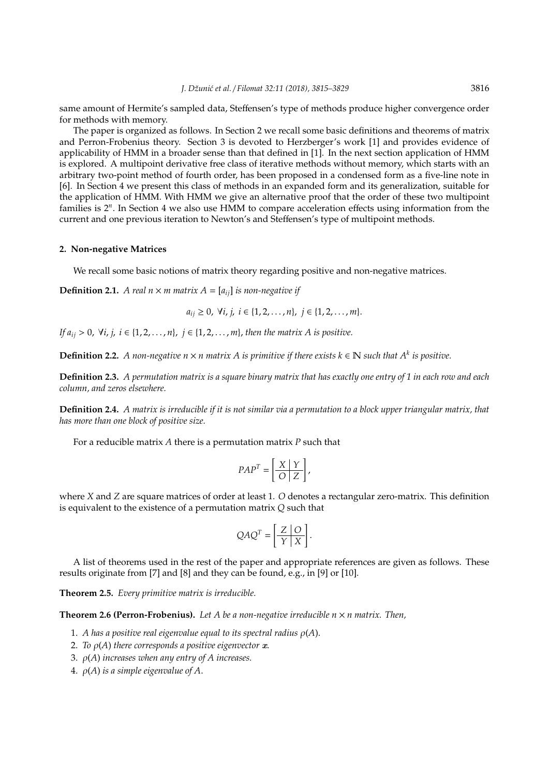same amount of Hermite's sampled data, Steffensen's type of methods produce higher convergence order for methods with memory.

The paper is organized as follows. In Section 2 we recall some basic definitions and theorems of matrix and Perron-Frobenius theory. Section 3 is devoted to Herzberger's work [1] and provides evidence of applicability of HMM in a broader sense than that defined in [1]. In the next section application of HMM is explored. A multipoint derivative free class of iterative methods without memory, which starts with an arbitrary two-point method of fourth order, has been proposed in a condensed form as a five-line note in [6]. In Section 4 we present this class of methods in an expanded form and its generalization, suitable for the application of HMM. With HMM we give an alternative proof that the order of these two multipoint families is 2<sup>n</sup>. In Section 4 we also use HMM to compare acceleration effects using information from the current and one previous iteration to Newton's and Steffensen's type of multipoint methods.

### **2. Non-negative Matrices**

We recall some basic notions of matrix theory regarding positive and non-negative matrices.

**Definition 2.1.** *A real n*  $\times$  *m matrix A* =  $[a_{ii}]$  *is non-negative if* 

*a*<sub>ij</sub> ≥ 0,  $\forall i, j, i \in \{1, 2, ..., n\}, j \in \{1, 2, ..., m\}.$ 

*If*  $a_{ij}$  > 0,  $\forall i, j, i$  ∈ {1, 2, . . . , *n*}, *j* ∈ {1, 2, . . . , *m*}, *then the matrix A is positive.* 

**Definition 2.2.** *A non-negative n*  $\times$  *n matrix A is primitive if there exists k* ∈  $\mathbb N$  *such that A<sup>k</sup> is positive.* 

**Definition 2.3.** *A permutation matrix is a square binary matrix that has exactly one entry of 1 in each row and each column, and zeros elsewhere.*

**Definition 2.4.** *A matrix is irreducible if it is not similar via a permutation to a block upper triangular matrix, that has more than one block of positive size.*

For a reducible matrix *A* there is a permutation matrix *P* such that

$$
PAP^T = \left[\frac{X \mid Y}{O \mid Z}\right],
$$

where *X* and *Z* are square matrices of order at least 1. *O* denotes a rectangular zero-matrix. This definition is equivalent to the existence of a permutation matrix *Q* such that

$$
QAQ^{T} = \left[\frac{Z}{Y} \frac{O}{X}\right].
$$

A list of theorems used in the rest of the paper and appropriate references are given as follows. These results originate from [7] and [8] and they can be found, e.g., in [9] or [10].

**Theorem 2.5.** *Every primitive matrix is irreducible.*

**Theorem 2.6 (Perron-Frobenius).** Let A be a non-negative irreducible  $n \times n$  matrix. Then,

- 1. *A has a positive real eigenvalue equal to its spectral radius* ρ(*A*).
- 2. *To* ρ(*A*) *there corresponds a positive eigenvector* x.
- 3. ρ(*A*) *increases when any entry of A increases.*
- 4. ρ(*A*) *is a simple eigenvalue of A*.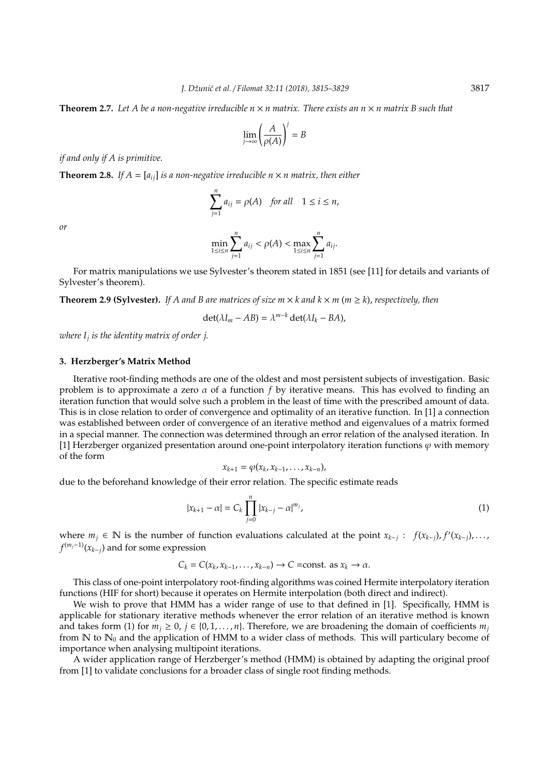**Theorem 2.7.** *Let A be a non-negative irreducible n* × *n matrix. There exists an n* × *n matrix B such that*

$$
\lim_{j \to \infty} \left( \frac{A}{\rho(A)} \right)^j = B
$$

*if and only if A is primitive.*

**Theorem 2.8.** *If*  $A = [a_{ij}]$  *is a non-negative irreducible n*  $\times$  *n matrix, then either* 

$$
\sum_{j=1}^{n} a_{ij} = \rho(A) \quad \text{for all} \quad 1 \le i \le n,
$$

*or*

$$
\min_{1 \le i \le n} \sum_{j=1}^n a_{ij} < \rho(A) < \max_{1 \le i \le n} \sum_{j=1}^n a_{ij}.
$$

For matrix manipulations we use Sylvester's theorem stated in 1851 (see [11] for details and variants of Sylvester's theorem).

**Theorem 2.9 (Sylvester).** *If A and B are matrices of size m*  $\times$  *k and*  $k \times m$  *(m*  $\geq$  *k), respectively, then* 

$$
\det(\lambda I_m - AB) = \lambda^{m-k} \det(\lambda I_k - BA),
$$

*where I<sup>j</sup> is the identity matrix of order j*.

## **3. Herzberger's Matrix Method**

Iterative root-finding methods are one of the oldest and most persistent subjects of investigation. Basic problem is to approximate a zero  $\alpha$  of a function f by iterative means. This has evolved to finding an iteration function that would solve such a problem in the least of time with the prescribed amount of data. This is in close relation to order of convergence and optimality of an iterative function. In [1] a connection was established between order of convergence of an iterative method and eigenvalues of a matrix formed in a special manner. The connection was determined through an error relation of the analysed iteration. In [1] Herzberger organized presentation around one-point interpolatory iteration functions  $\varphi$  with memory of the form

$$
x_{k+1} = \varphi(x_k, x_{k-1}, \ldots, x_{k-n}),
$$

due to the beforehand knowledge of their error relation. The specific estimate reads

$$
|x_{k+1} - \alpha| = C_k \prod_{j=0}^{n} |x_{k-j} - \alpha|^{m_j},
$$
\n(1)

where  $m_j$  ∈ N is the number of function evaluations calculated at the point  $x_{k-j}$ :  $f(x_{k-j})$ ,  $f'(x_{k-j})$ , ..., *f* (*mj*−1)(*xk*−*j*) and for some expression

$$
C_k = C(x_k, x_{k-1}, \ldots, x_{k-n}) \rightarrow C = \text{const. as } x_k \rightarrow \alpha.
$$

This class of one-point interpolatory root-finding algorithms was coined Hermite interpolatory iteration functions (HIF for short) because it operates on Hermite interpolation (both direct and indirect).

We wish to prove that HMM has a wider range of use to that defined in [1]. Specifically, HMM is applicable for stationary iterative methods whenever the error relation of an iterative method is known and takes form (1) for  $m_j \ge 0$ ,  $j \in \{0, 1, \ldots, n\}$ . Therefore, we are broadening the domain of coefficients  $m_j$ from  $\mathbb N$  to  $\mathbb N_0$  and the application of HMM to a wider class of methods. This will particulary become of importance when analysing multipoint iterations.

A wider application range of Herzberger's method (HMM) is obtained by adapting the original proof from [1] to validate conclusions for a broader class of single root finding methods.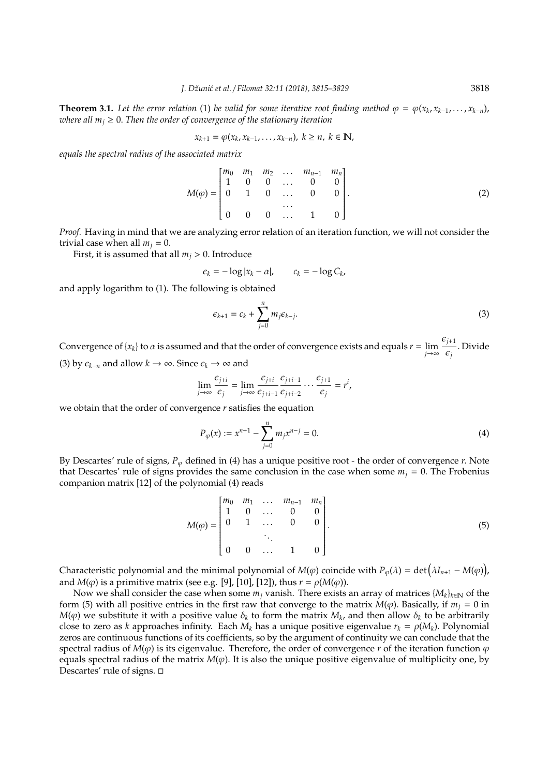**Theorem 3.1.** Let the error relation (1) be valid for some iterative root finding method  $\varphi = \varphi(x_k, x_{k-1}, \ldots, x_{k-n})$ , *where all*  $m_i \geq 0$ . *Then the order of convergence of the stationary iteration* 

$$
x_{k+1} = \varphi(x_k, x_{k-1}, \ldots, x_{k-n}), \ k \geq n, \ k \in \mathbb{N},
$$

*equals the spectral radius of the associated matrix*

$$
M(\varphi) = \begin{bmatrix} m_0 & m_1 & m_2 & \dots & m_{n-1} & m_n \\ 1 & 0 & 0 & \dots & 0 & 0 \\ 0 & 1 & 0 & \dots & 0 & 0 \\ & & & & \dots & & \\ 0 & 0 & 0 & \dots & 1 & 0 \end{bmatrix}.
$$
 (2)

*Proof.* Having in mind that we are analyzing error relation of an iteration function, we will not consider the trivial case when all  $m_i = 0$ .

First, it is assumed that all  $m_j > 0$ . Introduce

$$
\epsilon_k = -\log|x_k - \alpha|, \qquad c_k = -\log C_k,
$$

and apply logarithm to (1). The following is obtained

$$
\epsilon_{k+1} = c_k + \sum_{j=0}^n m_j \epsilon_{k-j}.
$$
 (3)

Convergence of {*x<sub>k</sub>*} to  $\alpha$  is assumed and that the order of convergence exists and equals  $r = \lim_{j \to \infty}$  $\epsilon_{j+1}$  $\frac{j+1}{\epsilon_j}$ . Divide (3) by  $\epsilon_{k-n}$  and allow  $k \to \infty$ . Since  $\epsilon_k \to \infty$  and

$$
\lim_{j\to\infty}\frac{\epsilon_{j+i}}{\epsilon_j}=\lim_{j\to\infty}\frac{\epsilon_{j+i}}{\epsilon_{j+i-1}}\frac{\epsilon_{j+i-1}}{\epsilon_{j+i-2}}\cdots\frac{\epsilon_{j+1}}{\epsilon_j}=r^i,
$$

we obtain that the order of convergence *r* satisfies the equation

$$
P_{\varphi}(x) := x^{n+1} - \sum_{j=0}^{n} m_j x^{n-j} = 0.
$$
 (4)

By Descartes' rule of signs,  $P_\varphi$  defined in (4) has a unique positive root - the order of convergence *r*. Note that Descartes' rule of signs provides the same conclusion in the case when some  $m_j = 0$ . The Frobenius companion matrix [12] of the polynomial (4) reads

$$
M(\varphi) = \begin{bmatrix} m_0 & m_1 & \dots & m_{n-1} & m_n \\ 1 & 0 & \dots & 0 & 0 \\ 0 & 1 & \dots & 0 & 0 \\ & & \ddots & & \\ 0 & 0 & \dots & 1 & 0 \end{bmatrix} .
$$
 (5)

Characteristic polynomial and the minimal polynomial of  $M(\varphi)$  coincide with  $P_{\varphi}(\lambda) = \det (\lambda I_{n+1} - M(\varphi))$ , and  $M(\varphi)$  is a primitive matrix (see e.g. [9], [10], [12]), thus  $r = \rho(M(\varphi))$ .

Now we shall consider the case when some  $m_j$  vanish. There exists an array of matrices  $\{M_k\}_{k\in\mathbb{N}}$  of the form (5) with all positive entries in the first raw that converge to the matrix  $M(\varphi)$ . Basically, if  $m_j = 0$  in  $M(φ)$  we substitute it with a positive value  $\delta_k$  to form the matrix  $M_k$ , and then allow  $\delta_k$  to be arbitrarily close to zero as *k* approaches infinity. Each  $M_k$  has a unique positive eigenvalue  $r_k = \rho(M_k)$ . Polynomial zeros are continuous functions of its coefficients, so by the argument of continuity we can conclude that the spectral radius of  $M(\varphi)$  is its eigenvalue. Therefore, the order of convergence *r* of the iteration function  $\varphi$ equals spectral radius of the matrix  $M(\varphi)$ . It is also the unique positive eigenvalue of multiplicity one, by Descartes' rule of signs.  $\square$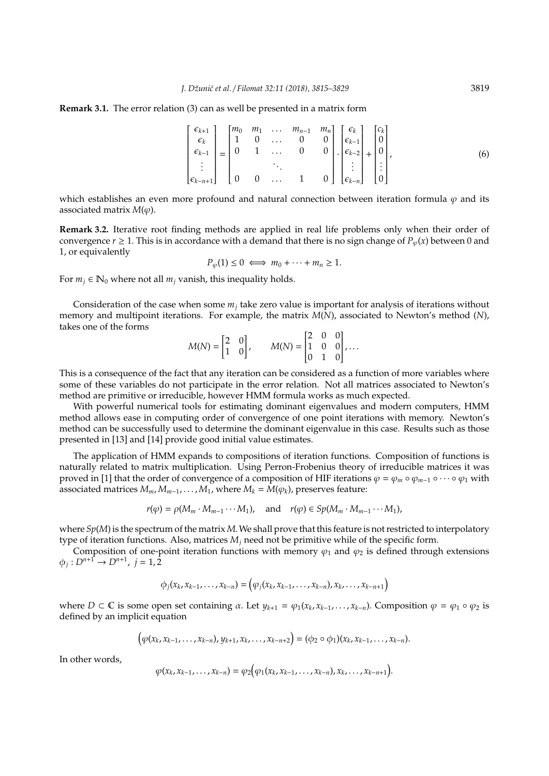#### **Remark 3.1.** The error relation (3) can as well be presented in a matrix form

$$
\begin{bmatrix} \epsilon_{k+1} \\ \epsilon_k \\ \epsilon_{k-1} \\ \vdots \\ \epsilon_{k-n+1} \end{bmatrix} = \begin{bmatrix} m_0 & m_1 & \dots & m_{n-1} & m_n \\ 1 & 0 & \dots & 0 & 0 \\ 0 & 1 & \dots & 0 & 0 \\ & & & & & 0 \\ 0 & 0 & \dots & 1 & 0 \end{bmatrix} \cdot \begin{bmatrix} \epsilon_k \\ \epsilon_{k-1} \\ \epsilon_{k-2} \\ \vdots \\ \epsilon_{k-n} \end{bmatrix} + \begin{bmatrix} c_k \\ 0 \\ 0 \\ \vdots \\ 0 \end{bmatrix},
$$
(6)

which establishes an even more profound and natural connection between iteration formula  $\varphi$  and its associated matrix  $M(\varphi)$ .

**Remark 3.2.** Iterative root finding methods are applied in real life problems only when their order of convergence  $r \ge 1$ . This is in accordance with a demand that there is no sign change of  $P_\omega(x)$  between 0 and 1, or equivalently

 $P_{\varphi}(1) \leq 0 \iff m_0 + \cdots + m_n \geq 1.$ 

For  $m_i \in \mathbb{N}_0$  where not all  $m_i$  vanish, this inequality holds.

Consideration of the case when some *m<sup>j</sup>* take zero value is important for analysis of iterations without memory and multipoint iterations. For example, the matrix *M*(*N*), associated to Newton's method (*N*), takes one of the forms

$$
M(N) = \begin{bmatrix} 2 & 0 \\ 1 & 0 \end{bmatrix}, \qquad M(N) = \begin{bmatrix} 2 & 0 & 0 \\ 1 & 0 & 0 \\ 0 & 1 & 0 \end{bmatrix}, \dots
$$

This is a consequence of the fact that any iteration can be considered as a function of more variables where some of these variables do not participate in the error relation. Not all matrices associated to Newton's method are primitive or irreducible, however HMM formula works as much expected.

With powerful numerical tools for estimating dominant eigenvalues and modern computers, HMM method allows ease in computing order of convergence of one point iterations with memory. Newton's method can be successfully used to determine the dominant eigenvalue in this case. Results such as those presented in [13] and [14] provide good initial value estimates.

The application of HMM expands to compositions of iteration functions. Composition of functions is naturally related to matrix multiplication. Using Perron-Frobenius theory of irreducible matrices it was proved in [1] that the order of convergence of a composition of HIF iterations  $\varphi = \varphi_m \circ \varphi_{m-1} \circ \cdots \circ \varphi_1$  with associated matrices  $M_m, M_{m-1}, \ldots, M_1$ , where  $M_k = M(\varphi_k)$ , preserves feature:

$$
r(\varphi) = \rho(M_m \cdot M_{m-1} \cdots M_1), \quad \text{and} \quad r(\varphi) \in Sp(M_m \cdot M_{m-1} \cdots M_1),
$$

where *Sp*(*M*) is the spectrum of the matrix *M*. We shall prove that this feature is not restricted to interpolatory type of iteration functions. Also, matrices *M<sup>j</sup>* need not be primitive while of the specific form.

Composition of one-point iteration functions with memory  $\varphi_1$  and  $\varphi_2$  is defined through extensions  $\phi_j : D^{n+1} \to D^{n+1}, \ j = 1, 2$ 

$$
\phi_j(x_k,x_{k-1},\ldots,x_{k-n})=\left(\varphi_j(x_k,x_{k-1},\ldots,x_{k-n}),x_k,\ldots,x_{k-n+1}\right)
$$

where  $D \subset \mathbb{C}$  is some open set containing  $\alpha$ . Let  $y_{k+1} = \varphi_1(x_k, x_{k-1}, \ldots, x_{k-n})$ . Composition  $\varphi = \varphi_1 \circ \varphi_2$  is defined by an implicit equation

$$
(\varphi(x_k, x_{k-1}, \ldots, x_{k-n}), y_{k+1}, x_k, \ldots, x_{k-n+2}) = (\varphi_2 \circ \varphi_1)(x_k, x_{k-1}, \ldots, x_{k-n}).
$$

In other words,

$$
\varphi(x_k, x_{k-1}, \ldots, x_{k-n}) = \varphi_2(\varphi_1(x_k, x_{k-1}, \ldots, x_{k-n}), x_k, \ldots, x_{k-n+1}).
$$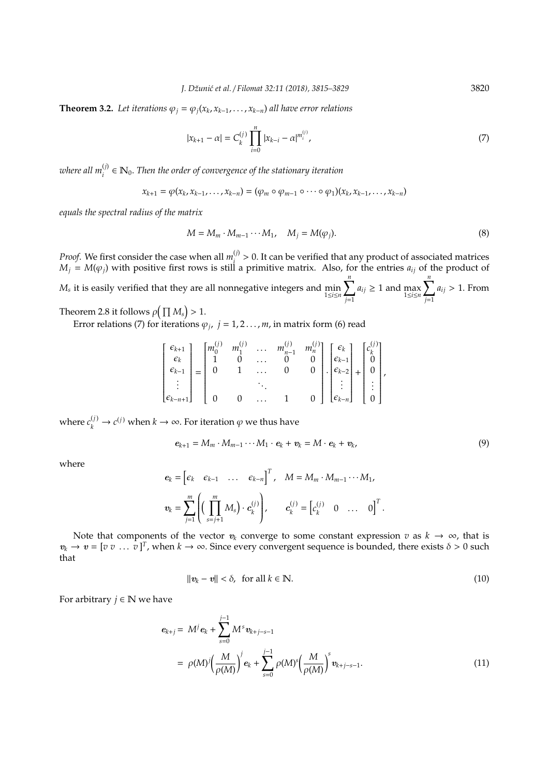**Theorem 3.2.** Let iterations  $\varphi_j = \varphi_j(x_k, x_{k-1}, \ldots, x_{k-n})$  all have error relations

$$
|x_{k+1} - \alpha| = C_k^{(j)} \prod_{i=0}^n |x_{k-i} - \alpha|^{m_i^{(j)}},
$$
\n(7)

where all  $m_i^{(j)} \in \mathbb{N}_0.$  Then the order of convergence of the stationary iteration

$$
x_{k+1} = \varphi(x_k, x_{k-1}, \ldots, x_{k-n}) = (\varphi_m \circ \varphi_{m-1} \circ \cdots \circ \varphi_1)(x_k, x_{k-1}, \ldots, x_{k-n})
$$

*equals the spectral radius of the matrix*

$$
M = M_m \cdot M_{m-1} \cdots M_1, \quad M_j = M(\varphi_j). \tag{8}
$$

*Proof.* We first consider the case when all  $m_i^{(j)}$  $i$ <sup>(*i*</sup>) > 0. It can be verified that any product of associated matrices  $M_j = M(\varphi_j)$  with positive first rows is still a primitive matrix. Also, for the entries  $a_{ij}$  of the product of *M<sup>s</sup>* it is easily verified that they are all nonnegative integers and min 1≤*i*≤*n*  $\sum_{ }^{n}$ *j*=1  $a_{ij} \geq 1$  and  $\max_{1 \leq i \leq m}$  $\sum_{ }^{n}$ *j*=1 *aij* > 1. From

Theorem 2.8 it follows  $\rho\big(\prod M_s\big) > 1$ .

Error relations (7) for iterations  $\varphi_j$ ,  $j = 1, 2 \ldots, m$ , in matrix form (6) read

| $\lceil \epsilon_{k+1} \rceil$<br>$\epsilon_k$<br>$\epsilon_{k-1}$ | $\mathsf{I}_{m_0}$ |  | $m_{n-1}^{(j)}$ | $\begin{bmatrix} m_n^{(j)} \\ 0 \end{bmatrix}$ $\begin{bmatrix} \epsilon_k \\ \epsilon_{k-1} \end{bmatrix}$ | $ \epsilon_{k-2} $                                                                                                          | $\begin{bmatrix} c_k \\ 0 \\ 0 \end{bmatrix}$ |  |
|--------------------------------------------------------------------|--------------------|--|-----------------|-------------------------------------------------------------------------------------------------------------|-----------------------------------------------------------------------------------------------------------------------------|-----------------------------------------------|--|
| $\Big _{\epsilon_{k-n+1}}$                                         |                    |  |                 |                                                                                                             | $\left[\begin{array}{c} \vdots \\ \epsilon_{k-n} \end{array}\right] \left[\begin{array}{c} \vdots \\ 0 \end{array}\right]'$ |                                               |  |

where  $c_k^{(j)} \to c^{(j)}$  when  $k \to \infty$ . For iteration  $\varphi$  we thus have

$$
e_{k+1} = M_m \cdot M_{m-1} \cdots M_1 \cdot e_k + v_k = M \cdot e_k + v_k, \qquad (9)
$$

where

$$
\mathbf{e}_k = \begin{bmatrix} \epsilon_k & \epsilon_{k-1} & \dots & \epsilon_{k-n} \end{bmatrix}^T, \quad M = M_m \cdot M_{m-1} \cdots M_1,
$$
  

$$
\mathbf{v}_k = \sum_{j=1}^m \left( \left( \prod_{s=j+1}^m M_s \right) \cdot \mathbf{c}_k^{(j)} \right), \qquad \mathbf{c}_k^{(j)} = \begin{bmatrix} c_k^{(j)} & 0 & \dots & 0 \end{bmatrix}^T.
$$

Note that components of the vector  $v_k$  converge to some constant expression  $v$  as  $k \to \infty$ , that is  $v_k \to v = [v v \dots v]^T$ , when  $k \to \infty$ . Since every convergent sequence is bounded, there exists  $\delta > 0$  such that

$$
\|\mathbf{v}_k - \mathbf{v}\| < \delta, \quad \text{for all } k \in \mathbb{N}.\tag{10}
$$

For arbitrary  $j \in \mathbb{N}$  we have

$$
e_{k+j} = M^{j} e_{k} + \sum_{s=0}^{j-1} M^{s} v_{k+j-s-1}
$$
  
=  $\rho(M)^{j} \left(\frac{M}{\rho(M)}\right)^{j} e_{k} + \sum_{s=0}^{j-1} \rho(M)^{s} \left(\frac{M}{\rho(M)}\right)^{s} v_{k+j-s-1}.$  (11)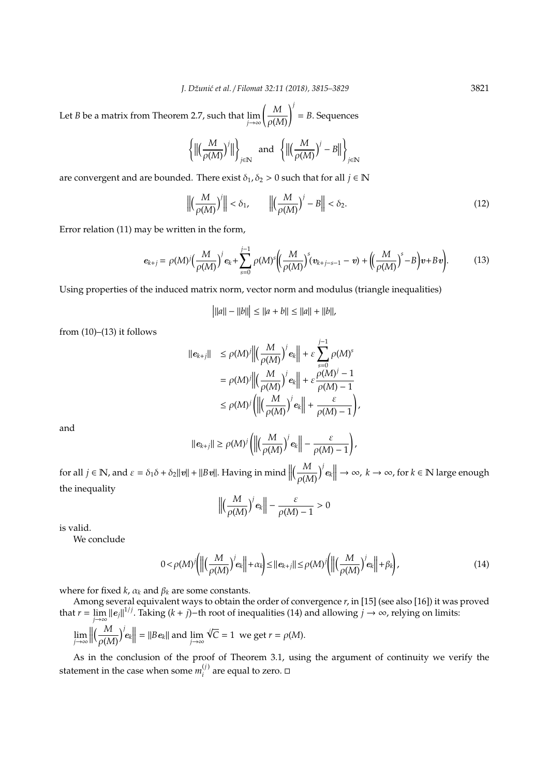Let *B* be a matrix from Theorem 2.7, such that  $\lim_{j\to\infty}\left(\frac{M}{\rho(\lambda)}\right)$ ρ(*M*) !*j* = *B*. Sequences

$$
\left\{\Big\|\Big(\frac{M}{\rho(M)}\Big)^j\Big\|\right\}_{j\in\mathbb{N}}\ \ \text{and}\ \ \left\{\Big\|\Big(\frac{M}{\rho(M)}\Big)^j-B\Big\|\right\}_{j\in\mathbb{N}}
$$

are convergent and are bounded. There exist  $\delta_1$ ,  $\delta_2 > 0$  such that for all  $j \in \mathbb{N}$ 

$$
\left\| \left( \frac{M}{\rho(M)} \right)^j \right\| < \delta_1, \qquad \left\| \left( \frac{M}{\rho(M)} \right)^j - B \right\| < \delta_2. \tag{12}
$$

Error relation (11) may be written in the form,

$$
e_{k+j} = \rho(M)^j \Big(\frac{M}{\rho(M)}\Big)^j e_k + \sum_{s=0}^{j-1} \rho(M)^s \Big(\Big(\frac{M}{\rho(M)}\Big)^s (v_{k+j-s-1} - v) + \Big(\Big(\frac{M}{\rho(M)}\Big)^s - B\Big)v + Bv\Big).
$$
 (13)

Using properties of the induced matrix norm, vector norm and modulus (triangle inequalities)

$$
|||a|| - ||b||| \le ||a + b|| \le ||a|| + ||b||,
$$

from  $(10)$ – $(13)$  it follows

$$
\begin{aligned} ||e_{k+j}|| &\le \rho(M)^j \left\| \left(\frac{M}{\rho(M)}\right)^j e_k \right\| + \varepsilon \sum_{s=0}^{j-1} \rho(M)^s \\ &= \rho(M)^j \left\| \left(\frac{M}{\rho(M)}\right)^j e_k \right\| + \varepsilon \frac{\rho(M)^j - 1}{\rho(M) - 1} \\ &\le \rho(M)^j \left( \left\| \left(\frac{M}{\rho(M)}\right)^j e_k \right\| + \frac{\varepsilon}{\rho(M) - 1} \right), \end{aligned}
$$

and

$$
\|\mathbf{e}_{k+j}\| \geq \rho(M)^j \left( \left\| \left( \frac{M}{\rho(M)} \right)^j \mathbf{e}_k \right\| - \frac{\varepsilon}{\rho(M)-1} \right),
$$

for all  $j \in \mathbb{N}$ , and  $\varepsilon = \delta_1 \delta + \delta_2 ||v|| + ||Bv||$ . Having in mind  $||$  $\sqrt{\frac{M}{2}}$ ρ(*M*)  $\left| \int e_k \right|$  → ∞, *k* → ∞, for *k* ∈ N large enough the inequality

$$
\left\|\left(\frac{M}{\rho(M)}\right)^j e_k\right\| - \frac{\varepsilon}{\rho(M)-1} > 0
$$

is valid.

We conclude

$$
0 < \rho(M)^j \bigg( \bigg\| \bigg( \frac{M}{\rho(M)} \bigg)^j e_k \bigg\| + \alpha_k \bigg) \le ||e_{k+j}|| \le \rho(M)^j \bigg( \bigg\| \bigg( \frac{M}{\rho(M)} \bigg)^j e_k \bigg\| + \beta_k \bigg), \tag{14}
$$

where for fixed *k*,  $\alpha_k$  and  $\beta_k$  are some constants.

Among several equivalent ways to obtain the order of convergence *r*, in [15] (see also [16]) it was proved that *r* =  $\lim_{j\to\infty} ||e_j||^{1/j}$ . Taking (*k* + *j*)−th root of inequalities (14) and allowing *j* → ∞, relying on limits: √*j*

$$
\lim_{j\to\infty}\left\|\left(\frac{M}{\rho(M)}\right)^j\mathbf{e}_k\right\|=\|Be_k\|\text{ and }\lim_{j\to\infty}\sqrt{jC}=1\ \text{ we get }r=\rho(M).
$$

As in the conclusion of the proof of Theorem 3.1, using the argument of continuity we verify the statement in the case when some  $m_i^{(j)}$  $i_j^{(j)}$  are equal to zero.  $\Box$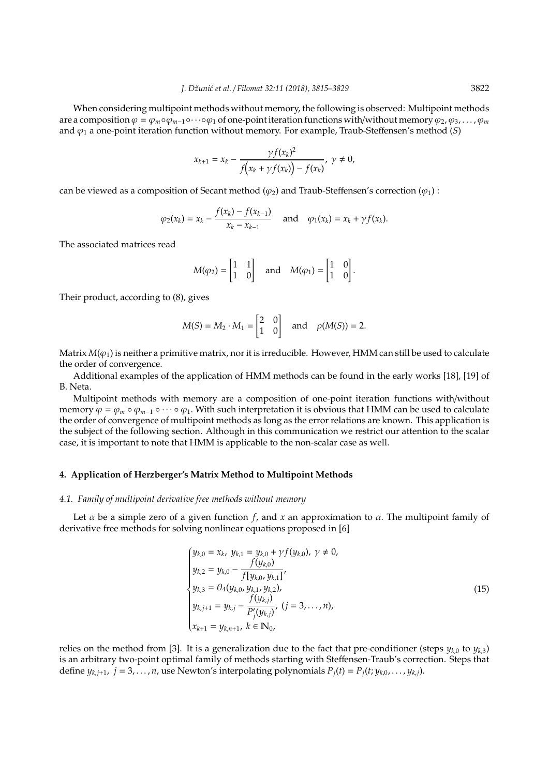When considering multipoint methods without memory, the following is observed: Multipoint methods are a composition  $\varphi = \varphi_m \circ \varphi_{m-1} \circ \cdots \circ \varphi_1$  of one-point iteration functions with/without memory  $\varphi_2, \varphi_3, \ldots, \varphi_m$ and  $\varphi_1$  a one-point iteration function without memory. For example, Traub-Steffensen's method (*S*)

$$
x_{k+1} = x_k - \frac{\gamma f(x_k)^2}{f(x_k + \gamma f(x_k)) - f(x_k)}, \ \gamma \neq 0,
$$

can be viewed as a composition of Secant method ( $\varphi_2$ ) and Traub-Steffensen's correction ( $\varphi_1$ ) :

$$
\varphi_2(x_k) = x_k - \frac{f(x_k) - f(x_{k-1})}{x_k - x_{k-1}}
$$
 and  $\varphi_1(x_k) = x_k + \gamma f(x_k)$ .

The associated matrices read

$$
M(\varphi_2) = \begin{bmatrix} 1 & 1 \\ 1 & 0 \end{bmatrix}
$$
 and  $M(\varphi_1) = \begin{bmatrix} 1 & 0 \\ 1 & 0 \end{bmatrix}$ .

Their product, according to (8), gives

$$
M(S) = M_2 \cdot M_1 = \begin{bmatrix} 2 & 0 \\ 1 & 0 \end{bmatrix} \quad \text{and} \quad \rho(M(S)) = 2.
$$

Matrix  $M(\varphi_1)$  is neither a primitive matrix, nor it is irreducible. However, HMM can still be used to calculate the order of convergence.

Additional examples of the application of HMM methods can be found in the early works [18], [19] of B. Neta.

Multipoint methods with memory are a composition of one-point iteration functions with/without memory  $\varphi = \varphi_m \circ \varphi_{m-1} \circ \cdots \circ \varphi_1$ . With such interpretation it is obvious that HMM can be used to calculate the order of convergence of multipoint methods as long as the error relations are known. This application is the subject of the following section. Although in this communication we restrict our attention to the scalar case, it is important to note that HMM is applicable to the non-scalar case as well.

#### **4. Application of Herzberger's Matrix Method to Multipoint Methods**

## *4.1. Family of multipoint derivative free methods without memory*

Let  $\alpha$  be a simple zero of a given function *f*, and *x* an approximation to  $\alpha$ . The multipoint family of derivative free methods for solving nonlinear equations proposed in [6]

$$
\begin{cases}\ny_{k,0} = x_k, \ y_{k,1} = y_{k,0} + \gamma f(y_{k,0}), \ \gamma \neq 0, \\
y_{k,2} = y_{k,0} - \frac{f(y_{k,0})}{f[y_{k,0}, y_{k,1}]}, \\
y_{k,3} = \theta_4(y_{k,0}, y_{k,1}, y_{k,2}), \\
y_{k,j+1} = y_{k,j} - \frac{f(y_{k,j})}{P'_j(y_{k,j})}, \ (j = 3, ..., n), \\
x_{k+1} = y_{k,n+1}, \ k \in \mathbb{N}_0,\n\end{cases}
$$
\n(15)

relies on the method from [3]. It is a generalization due to the fact that pre-conditioner (steps  $y_{k,0}$  to  $y_{k,3}$ ) is an arbitrary two-point optimal family of methods starting with Steffensen-Traub's correction. Steps that define  $y_{k,i+1}$ ,  $j = 3, \ldots, n$ , use Newton's interpolating polynomials  $P_i(t) = P_i(t; y_{k,0}, \ldots, y_{k,i})$ .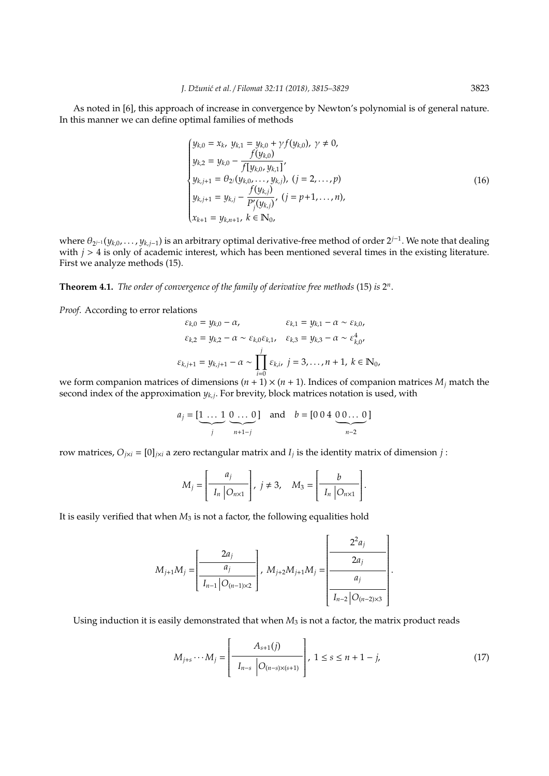As noted in [6], this approach of increase in convergence by Newton's polynomial is of general nature. In this manner we can define optimal families of methods

$$
\begin{cases}\ny_{k,0} = x_k, \ y_{k,1} = y_{k,0} + \gamma f(y_{k,0}), \ \gamma \neq 0, \\
y_{k,2} = y_{k,0} - \frac{f(y_{k,0})}{f[y_{k,0}, y_{k,1}]}, \\
y_{k,j+1} = \theta_{2j}(y_{k,0}, \dots, y_{k,j}), \ (j = 2, \dots, p) \\
y_{k,j+1} = y_{k,j} - \frac{f(y_{k,j})}{P'_{j}(y_{k,j})}, \ (j = p+1, \dots, n), \\
x_{k+1} = y_{k,n+1}, \ k \in \mathbb{N}_{0},\n\end{cases}
$$
\n(16)

where θ<sup>2</sup> *<sup>j</sup>*−<sup>1</sup> (*yk*,0, . . . , *yk*,*j*−1) is an arbitrary optimal derivative-free method of order 2*<sup>j</sup>*−<sup>1</sup> . We note that dealing with  $j > 4$  is only of academic interest, which has been mentioned several times in the existing literature. First we analyze methods (15).

**Theorem 4.1.** *The order of convergence of the family of derivative free methods* (15) *is* 2 *n* .

*Proof*. According to error relations

$$
\varepsilon_{k,0} = y_{k,0} - \alpha, \qquad \varepsilon_{k,1} = y_{k,1} - \alpha \sim \varepsilon_{k,0},
$$
  

$$
\varepsilon_{k,2} = y_{k,2} - \alpha \sim \varepsilon_{k,0} \varepsilon_{k,1}, \quad \varepsilon_{k,3} = y_{k,3} - \alpha \sim \varepsilon_{k,0}^4,
$$
  

$$
\varepsilon_{k,j+1} = y_{k,j+1} - \alpha \sim \prod_{i=0}^j \varepsilon_{k,i}, \ j = 3, ..., n+1, \ k \in \mathbb{N}_0,
$$

we form companion matrices of dimensions  $(n + 1) \times (n + 1)$ . Indices of companion matrices  $M_i$  match the second index of the approximation *yk*,*<sup>j</sup>* . For brevity, block matrices notation is used, with

$$
a_j = [\underbrace{1 \dots 1}_{j} \underbrace{0 \dots 0}_{n+1-j}] \quad \text{and} \quad b = [0 \ 0 \ 4 \ \underbrace{0 \ 0 \dots 0}_{n-2}]
$$

row matrices,  $O_{j\times i} = [0]_{j\times i}$  a zero rectangular matrix and  $I_j$  is the identity matrix of dimension  $j$ :

$$
M_j = \left[\begin{array}{c} a_j \\ I_n \end{array}\middle| \begin{array}{c} p \\ Q_{n \times 1} \end{array}\right], \ j \neq 3, \quad M_3 = \left[\begin{array}{c} b \\ I_n \end{array}\middle| \begin{array}{c} Q_{n \times 1} \end{array}\right].
$$

It is easily verified that when  $M_3$  is not a factor, the following equalities hold

$$
M_{j+1}M_j = \left[\frac{2a_j}{I_{n-1} | O_{(n-1)\times 2}}\right], \ M_{j+2}M_{j+1}M_j = \left[\frac{2^2a_j}{a_j}\right].
$$

Using induction it is easily demonstrated that when  $M_3$  is not a factor, the matrix product reads

$$
M_{j+s} \cdots M_j = \left[ \frac{A_{s+1}(j)}{I_{n-s} \left| O_{(n-s)\times (s+1)} \right|} \right], \ 1 \le s \le n+1-j,
$$
 (17)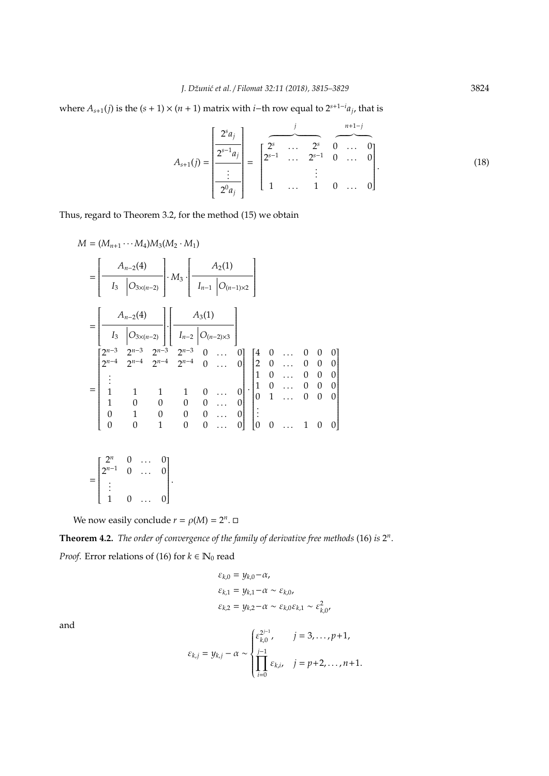where  $A_{s+1}(j)$  is the  $(s + 1) \times (n + 1)$  matrix with *i*−th row equal to  $2^{s+1-i}a_j$ , that is

$$
A_{s+1}(j) = \frac{\begin{bmatrix} 2^{s}a_j \\ \frac{2^{s-1}a_j}{\vdots} \\ \frac{2^{s}a_j}{\vdots} \end{bmatrix}}{\begin{bmatrix} 2^{s} & 0 & \cdots & 0 \\ 2^{s-1} & \cdots & 2^{s-1} & 0 & \cdots & 0 \\ \vdots & \vdots & \ddots & \vdots & \vdots \\ 1 & \cdots & 1 & 0 & \cdots & 0 \end{bmatrix}}.
$$
 (18)

Thus, regard to Theorem 3.2, for the method (15) we obtain

$$
M = (M_{n+1} \cdots M_4)M_3(M_2 \cdot M_1)
$$
  
=  $\begin{bmatrix} A_{n-2}(4) \\ I_3 & O_{3\times(n-2)} \end{bmatrix} \cdot M_3 \cdot \begin{bmatrix} A_2(1) \\ I_{n-1} & O_{(n-1)\times 2} \end{bmatrix}$   
=  $\begin{bmatrix} A_{n-2}(4) \\ I_3 & O_{3\times(n-2)} \end{bmatrix} \cdot \begin{bmatrix} A_3(1) \\ I_{n-2} & O_{(n-2)\times 3} \end{bmatrix}$   
=  $\begin{bmatrix} 2^{n-3} & 2^{n-3} & 2^{n-3} & 2^{n-3} & 0 & \cdots & 0 \\ 2^{n-4} & 2^{n-4} & 2^{n-4} & 2^{n-4} & 0 & \cdots & 0 \\ \vdots & & & & & \\ 1 & 1 & 1 & 0 & \cdots & 0 \\ 1 & 0 & 0 & 0 & 0 & \cdots & 0 \\ 0 & 1 & 0 & 0 & 0 & \cdots & 0 \\ 0 & 0 & 1 & 0 & 0 & \cdots & 0 \end{bmatrix} \cdot \begin{bmatrix} 4 & 0 & \cdots & 0 & 0 & 0 \\ 2 & 0 & \cdots & 0 & 0 & 0 \\ 1 & 0 & \cdots & 0 & 0 & 0 \\ 0 & 1 & \cdots & 0 & 0 & 0 \\ \vdots & & & & & \\ 0 & 0 & \cdots & 0 & 0 \\ 0 & 0 & \cdots & 0 & 0 & \cdots & 1 \end{bmatrix}$   
=  $\begin{bmatrix} 2^n & 0 & \cdots & 0 \\ 2^{n-1} & 0 & \cdots & 0 \\ \vdots & & & & \\ 1 & 0 & \cdots & 0 \\ \vdots & & & & \\ 1 & 0 & \cdots & 0 & 0 \end{bmatrix}$ .

We now easily conclude  $r = \rho(M) = 2^n$ .

1 0 ... 0

**Theorem 4.2.** *The order of convergence of the family of derivative free methods* (16) *is* 2 *n* . *Proof.* Error relations of (16) for  $k \in \mathbb{N}_0$  read

$$
\varepsilon_{k,0} = y_{k,0} - \alpha,
$$
  
\n
$$
\varepsilon_{k,1} = y_{k,1} - \alpha \sim \varepsilon_{k,0},
$$
  
\n
$$
\varepsilon_{k,2} = y_{k,2} - \alpha \sim \varepsilon_{k,0}\varepsilon_{k,1} \sim \varepsilon_{k,0}^2,
$$

and

$$
\varepsilon_{k,j} = y_{k,j} - \alpha \sim \begin{cases} \varepsilon_{k,0}^{2^{j-1}}, & j = 3, \dots, p+1, \\ \prod_{i=0}^{j-1} \varepsilon_{k,i}, & j = p+2, \dots, n+1. \end{cases}
$$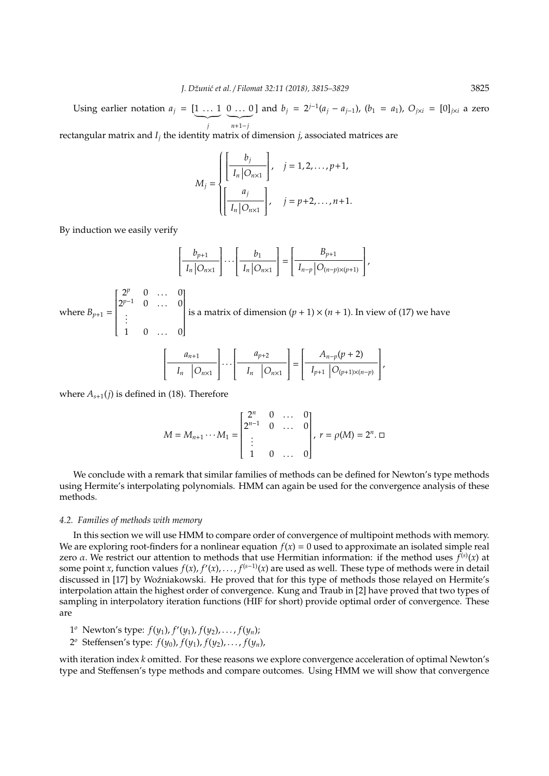Using earlier notation  $a_j = [1 \dots 1]$  $\sum_{i}$ *j* 0 ... 0] and  $b_j = 2^{j-1}(a_j - a_{j-1})$ ,  $(b_1 = a_1)$ ,  $O_{j \times i} = [0]_{j \times i}$  a zero  $\overline{n+1-j}$ 

rectangular matrix and *I<sup>j</sup>* the identity matrix of dimension *j*, associated matrices are

$$
M_{j} = \begin{cases} \left[ \frac{b_{j}}{I_{n} | O_{n \times 1}} \right], & j = 1, 2, ..., p+1, \\ \left[ \frac{a_{j}}{I_{n} | O_{n \times 1}} \right], & j = p+2, ..., n+1. \end{cases}
$$

By induction we easily verify

$$
\left[\frac{b_{p+1}}{I_n\big|O_{n\times 1}}\right]\cdots\left[\frac{b_1}{I_n\big|O_{n\times 1}}\right]=\left[\frac{B_{p+1}}{I_{n-p}\big|O_{(n-p)\times (p+1)}}\right],
$$

where  $B_{p+1} =$  $\left[\begin{array}{cccc} 2^p & 0 & \dots & 0 \end{array}\right]$ |<br>|<br>|<br>|<br>|  $2^{p-1}$  0 ... 0 . . .  $1 \t 0 \t ... \t 0$ 1 is a matrix of dimension  $(p + 1) \times (n + 1)$ . In view of (17) we have  $\int$   $a_{n+1}$  $\overline{\mathsf{l}}$ 1  $\cdot$ · · ·  $\int a_{p+2}$  $\overline{\mathsf{l}}$ 1  $\cdot$ =  $\int A_{n-p}(p+2)$  $\overline{\mathsf{l}}$ 1  $\cdot$ ,

 $I_n$   $\big|O_{n\times 1}\big|$ 

 $I_{p+1}$  |  $O_{(p+1)\times(n-p)}$ 

 $I_n$   $\big|O_{n\times 1}\big|$ 

where  $A_{s+1}(j)$  is defined in (18). Therefore

$$
M = M_{n+1} \cdots M_1 = \begin{bmatrix} 2^n & 0 & \cdots & 0 \\ 2^{n-1} & 0 & \cdots & 0 \\ \vdots & & & \\ 1 & 0 & \cdots & 0 \end{bmatrix}, r = \rho(M) = 2^n. \square
$$

We conclude with a remark that similar families of methods can be defined for Newton's type methods using Hermite's interpolating polynomials. HMM can again be used for the convergence analysis of these methods.

## *4.2. Families of methods with memory*

In this section we will use HMM to compare order of convergence of multipoint methods with memory. We are exploring root-finders for a nonlinear equation  $f(x) = 0$  used to approximate an isolated simple real zero  $\alpha$ . We restrict our attention to methods that use Hermitian information: if the method uses  $f^{(s)}(x)$  at some point *x*, function values  $f(x)$ ,  $f'(x)$ , . . . ,  $f^{(s-1)}(x)$  are used as well. These type of methods were in detail discussed in [17] by Woźniakowski. He proved that for this type of methods those relayed on Hermite's interpolation attain the highest order of convergence. Kung and Traub in [2] have proved that two types of sampling in interpolatory iteration functions (HIF for short) provide optimal order of convergence. These are

- 1 *<sup>o</sup>* Newton's type: *f*(*y*1), *f* 0 (*y*1), *f*(*y*2), . . . , *f*(*yn*);
- 2 *<sup>o</sup>* Steffensen's type: *f*(*y*0), *f*(*y*1), *f*(*y*2), . . . , *f*(*yn*),

with iteration index *k* omitted. For these reasons we explore convergence acceleration of optimal Newton's type and Steffensen's type methods and compare outcomes. Using HMM we will show that convergence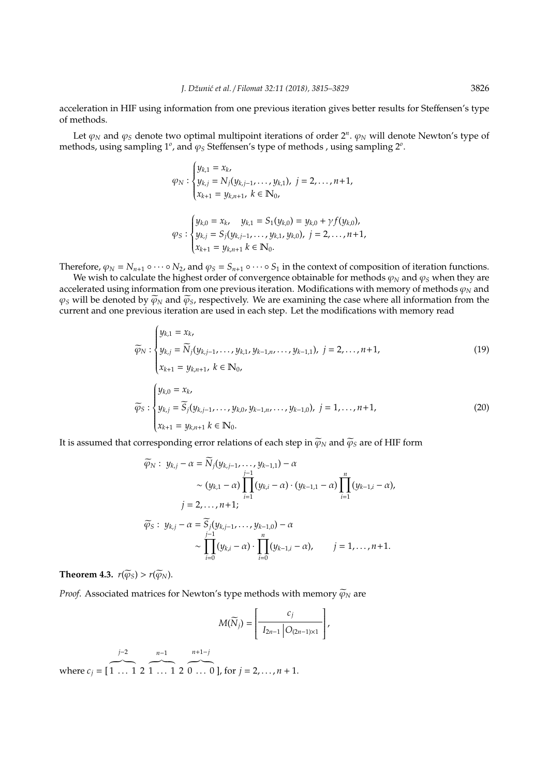acceleration in HIF using information from one previous iteration gives better results for Steffensen's type of methods.

Let  $\varphi_N$  and  $\varphi_S$  denote two optimal multipoint iterations of order  $2^n$ .  $\varphi_N$  will denote Newton's type of methods, using sampling 1<sup>*ο*</sup>, and  $\varphi_S$  Steffensen's type of methods, using sampling 2<sup>*ο*</sup>.

$$
\varphi_N : \begin{cases} y_{k,1} = x_k, \\ y_{k,j} = N_j(y_{k,j-1}, \dots, y_{k,1}), \ j = 2, \dots, n+1, \\ x_{k+1} = y_{k,n+1}, \ k \in \mathbb{N}_0, \end{cases}
$$

$$
\varphi_S : \begin{cases} y_{k,0} = x_k, & y_{k,1} = S_1(y_{k,0}) = y_{k,0} + \gamma f(y_{k,0}), \\ y_{k,j} = S_j(y_{k,j-1}, \dots, y_{k,1}, y_{k,0}), \ j = 2, \dots, n+1, \\ x_{k+1} = y_{k,n+1} \ k \in \mathbb{N}_0. \end{cases}
$$

Therefore,  $\varphi_N = N_{n+1} \circ \cdots \circ N_2$ , and  $\varphi_S = S_{n+1} \circ \cdots \circ S_1$  in the context of composition of iteration functions.

We wish to calculate the highest order of convergence obtainable for methods  $\varphi_N$  and  $\varphi_S$  when they are accelerated using information from one previous iteration. Modifications with memory of methods  $\varphi_N$  and  $\varphi_S$  will be denoted by  $\widetilde{\varphi}_N$  and  $\widetilde{\varphi}_S$ , respectively. We are examining the case where all information from the current and one previous iteration are used in each step. Let the modifications with memory read

$$
\widetilde{\varphi}_{N} : \begin{cases} y_{k,1} = x_{k}, \\ y_{k,j} = \widetilde{N}_{j}(y_{k,j-1}, \ldots, y_{k,1}, y_{k-1,n}, \ldots, y_{k-1,1}), j = 2, \ldots, n+1, \\ x_{k+1} = y_{k,n+1}, k \in \mathbb{N}_{0}, \\ y_{k,0} = x_{k}, \\ y_{k,j} = \widetilde{S}_{j}(y_{k,j-1}, \ldots, y_{k,0}, y_{k-1,n}, \ldots, y_{k-1,0}), j = 1, \ldots, n+1, \\ x_{k+1} = y_{k,n+1} k \in \mathbb{N}_{0}. \end{cases}
$$
\n(19)

It is assumed that corresponding error relations of each step in  $\widetilde{\varphi}_N$  and  $\widetilde{\varphi}_S$  are of HIF form

$$
\widetilde{\varphi}_{N}: y_{k,j} - \alpha = \widetilde{N}_{j}(y_{k,j-1},...,y_{k-1,1}) - \alpha
$$
\n
$$
\sim (y_{k,1} - \alpha) \prod_{i=1}^{j-1} (y_{k,i} - \alpha) \cdot (y_{k-1,1} - \alpha) \prod_{i=1}^{n} (y_{k-1,i} - \alpha),
$$
\n
$$
j = 2,...,n+1;
$$
\n
$$
\widetilde{\varphi}_{S}: y_{k,j} - \alpha = \widetilde{S}_{j}(y_{k,j-1},...,y_{k-1,0}) - \alpha
$$
\n
$$
\sim \prod_{i=0}^{j-1} (y_{k,i} - \alpha) \cdot \prod_{i=0}^{n} (y_{k-1,i} - \alpha), \qquad j = 1,...,n+1.
$$

**Theorem 4.3.**  $r(\widetilde{\varphi}_S) > r(\widetilde{\varphi}_N)$ .

*Proof.* Associated matrices for Newton's type methods with memory  $\widetilde{\varphi}_N$  are

$$
M(\widetilde{N}_j) = \left[\frac{c_j}{I_{2n-1} | O_{(2n-1)\times 1}}\right],
$$

*j*−2 *n*−1 *n*+1−*j*

where  $c_j = [$  $\overline{1 \ldots 1}$  2  $\overline{1 \ldots 1}$  2  $\overline{0 \dots 0}$  ], for  $j = 2, \dots, n + 1$ .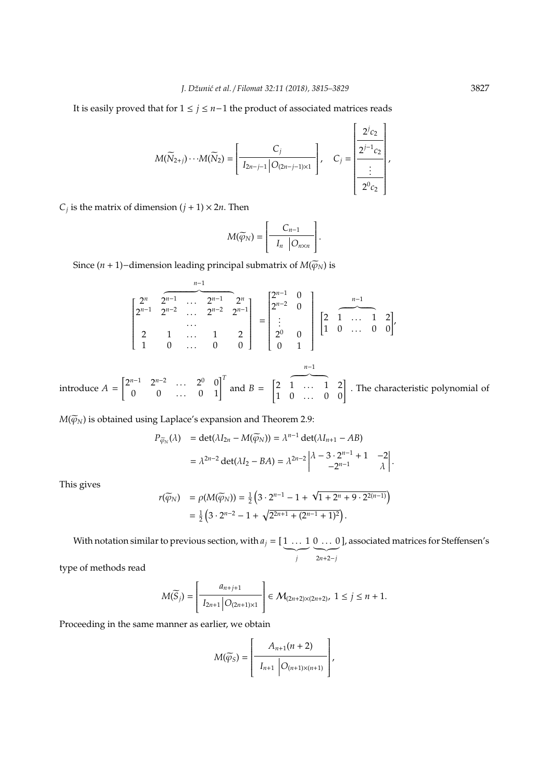It is easily proved that for 1 ≤ *j* ≤ *n*−1 the product of associated matrices reads

$$
M(\widetilde{N}_{2+j})\cdots M(\widetilde{N}_2)=\left[\frac{C_j}{I_{2n-j-1}\left|O_{(2n-j-1)\times 1}\right|}\right],\quad C_j=\left[\frac{2^{j}c_2}{\displaystyle\frac{2^{j-1}c_2}{\displaystyle\frac{2^{0}c_2}{\displaystyle\frac{2^{0}c_2}{\displaystyle\cdots\displaystyle\frac{2^{j}}{c_{2}}}}}\right],
$$

 $C_j$  is the matrix of dimension  $(j + 1) \times 2n$ . Then

$$
M(\widetilde{\varphi}_N)=\left[\begin{array}{c|c} C_{n-1} & B_{n-1} & \ \hline I_n & O_{n\times n} \end{array}\right].
$$

Since (*n* + 1)−dimension leading principal submatrix of  $M(\widetilde{\varphi}_N)$  is

$$
\begin{bmatrix} 2^{n} & 2^{n-1} & \cdots & 2^{n-1} & 2^{n} \\ 2^{n-1} & 2^{n-2} & \cdots & 2^{n-2} & 2^{n-1} \\ \vdots & \vdots & \ddots & \vdots & \vdots & \vdots \\ 2 & 1 & \cdots & 1 & 2 \\ 1 & 0 & \cdots & 0 & 0 \end{bmatrix} = \begin{bmatrix} 2^{n-1} & 0 & 0 & 0 \\ 2^{n-2} & 0 & 0 & 0 \\ \vdots & \vdots & \ddots & \vdots & \vdots \\ 2^{0} & 0 & 1 & 0 \\ 0 & 1 & 0 & \cdots & 0 \end{bmatrix} \begin{bmatrix} n-1 & 0 & 0 & 0 \\ 1 & 0 & \cdots & 1 & 2 \\ 0 & 0 & 0 & 0 \\ 0 & 0 & 1 & 0 \end{bmatrix}
$$

introduce *A* =  $\begin{bmatrix} 2^{n-1} & 2^{n-2} & \dots & 2^0 & 0 \\ 0 & 0 & \dots & 0 & 1 \end{bmatrix}^T$  and *B* =  $\begin{bmatrix} 2 & 1 & \dots & 1 & 2 \\ 1 & 0 & \dots & 0 & 0 \end{bmatrix}$ . The characteristic polynomial of

*n*−1

.

 $M(\widetilde{\varphi}_N)$  is obtained using Laplace's expansion and Theorem 2.9:

$$
P_{\widetilde{\varphi}_N}(\lambda) = \det(\lambda I_{2n} - M(\widetilde{\varphi}_N)) = \lambda^{n-1} \det(\lambda I_{n+1} - AB)
$$
  
=  $\lambda^{2n-2} \det(\lambda I_2 - BA) = \lambda^{2n-2} \begin{vmatrix} \lambda - 3 \cdot 2^{n-1} + 1 & -2 \\ -2^{n-1} & \lambda \end{vmatrix}$ 

This gives

$$
r(\widetilde{\varphi}_N) = \rho(M(\widetilde{\varphi}_N)) = \frac{1}{2} \left( 3 \cdot 2^{n-1} - 1 + \sqrt{1 + 2^n + 9 \cdot 2^{2(n-1)}} \right)
$$
  
=  $\frac{1}{2} \left( 3 \cdot 2^{n-2} - 1 + \sqrt{2^{2n+1} + (2^{n-1} + 1)^2} \right).$ 

With notation similar to previous section, with  $a_j = [1 \dots 1]$  $\overline{\phantom{a}}$ *j*  $0 \ldots 0$  $\overline{2n+2-j}$ ], associated matrices for Steffensen's

type of methods read

$$
M(\widetilde{S}_j) = \left[\frac{a_{n+j+1}}{I_{2n+1} \big| O_{(2n+1)\times 1}}\right] \in \mathcal{M}_{(2n+2)\times (2n+2)}, \ 1 \le j \le n+1.
$$

Proceeding in the same manner as earlier, we obtain

$$
M(\widetilde{\varphi}_S) = \left[\begin{array}{c} A_{n+1}(n+2) \\ \hline I_{n+1} & O_{(n+1)\times(n+1)} \end{array}\right],
$$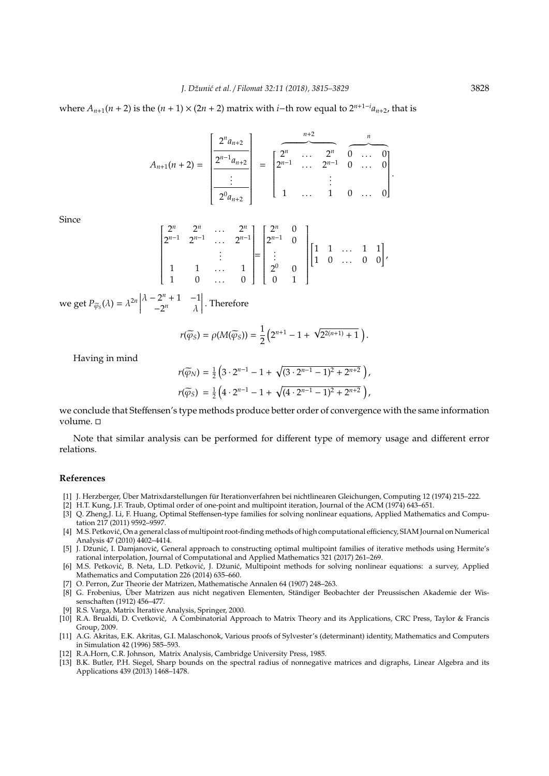where  $A_{n+1}(n+2)$  is the  $(n+1) \times (2n+2)$  matrix with *i*−th row equal to  $2^{n+1-i}a_{n+2}$ , that is

$$
A_{n+1}(n+2) = \begin{bmatrix} 2^n a_{n+2} \\ 2^{n-1} a_{n+2} \\ \vdots \\ 2^0 a_{n+2} \end{bmatrix} = \begin{bmatrix} 2^n & \cdots & 2^n & 0 & \cdots & 0 \\ 2^{n-1} & \cdots & 2^{n-1} & 0 & \cdots & 0 \\ \vdots & & & & \vdots & & \\ 1 & \cdots & 1 & 0 & \cdots & 0 \end{bmatrix}
$$

Since

$$
\begin{bmatrix} 2^n & 2^n & \dots & 2^n \\ 2^{n-1} & 2^{n-1} & \dots & 2^{n-1} \\ & & \vdots & \\ 1 & 1 & \dots & 1 \\ 1 & 0 & \dots & 0 \end{bmatrix} = \begin{bmatrix} 2^n & 0 \\ 2^{n-1} & 0 \\ \vdots & & \\ 2^0 & 0 \\ 0 & 1 \end{bmatrix} \begin{bmatrix} 1 & 1 & \dots & 1 & 1 \\ 1 & 0 & \dots & 0 & 0 \end{bmatrix},
$$

we get  $P_{\widetilde{\varphi}_S}(\lambda) = \lambda^{2n}$  $\lambda - 2^n + 1 - 1$  $-2^n$   $\lambda$  $\begin{array}{c} \hline \rule{0pt}{2.2ex} \\ \rule{0pt}{2.2ex} \end{array}$ . Therefore

$$
r(\widetilde{\varphi}_S) = \rho(M(\widetilde{\varphi}_S)) = \frac{1}{2} \left( 2^{n+1} - 1 + \sqrt{2^{2(n+1)} + 1} \right).
$$

Having in mind

$$
r(\widetilde{\varphi}_N) = \frac{1}{2} \left( 3 \cdot 2^{n-1} - 1 + \sqrt{(3 \cdot 2^{n-1} - 1)^2 + 2^{n+2}} \right),
$$
  

$$
r(\widetilde{\varphi}_S) = \frac{1}{2} \left( 4 \cdot 2^{n-1} - 1 + \sqrt{(4 \cdot 2^{n-1} - 1)^2 + 2^{n+2}} \right),
$$

we conclude that Steffensen's type methods produce better order of convergence with the same information volume.  $\Box$ 

Note that similar analysis can be performed for different type of memory usage and different error relations.

## **References**

- [1] J. Herzberger, Über Matrixdarstellungen für Iterationverfahren bei nichtlinearen Gleichungen, Computing 12 (1974) 215–222.
- [2] H.T. Kung, J.F. Traub, Optimal order of one-point and multipoint iteration, Journal of the ACM (1974) 643–651.
- [3] Q. Zheng,J. Li, F. Huang, Optimal Steffensen-type families for solving nonlinear equations, Applied Mathematics and Computation 217 (2011) 9592–9597.
- [4] M.S. Petković, On a general class of multipoint root-finding methods of high computational efficiency, SIAM Journal on Numerical Analysis 47 (2010) 4402–4414.
- [5] J. Džunić, I. Damjanović, General approach to constructing optimal multipoint families of iterative methods using Hermite's rational interpolation, Journal of Computational and Applied Mathematics 321 (2017) 261–269.
- [6] M.S. Petković, B. Neta, L.D. Petković, J. Džunić, Multipoint methods for solving nonlinear equations: a survey, Applied Mathematics and Computation 226 (2014) 635–660.
- [7] O. Perron, Zur Theorie der Matrizen, Mathematische Annalen 64 (1907) 248–263.
- [8] G. Frobenius, Über Matrizen aus nicht negativen Elementen, Ständiger Beobachter der Preussischen Akademie der Wissenschaften (1912) 456–477.
- [9] R.S. Varga, Matrix Iterative Analysis, Springer, 2000.
- [10] R.A. Brualdi, D. Cvetković, A Combinatorial Approach to Matrix Theory and its Applications, CRC Press, Taylor & Francis Group, 2009.
- [11] A.G. Akritas, E.K. Akritas, G.I. Malaschonok, Various proofs of Sylvester's (determinant) identity, Mathematics and Computers in Simulation 42 (1996) 585–593.
- [12] R.A.Horn, C.R. Johnson, Matrix Analysis, Cambridge University Press, 1985.
- [13] B.K. Butler, P.H. Siegel, Sharp bounds on the spectral radius of nonnegative matrices and digraphs, Linear Algebra and its Applications 439 (2013) 1468–1478.

.